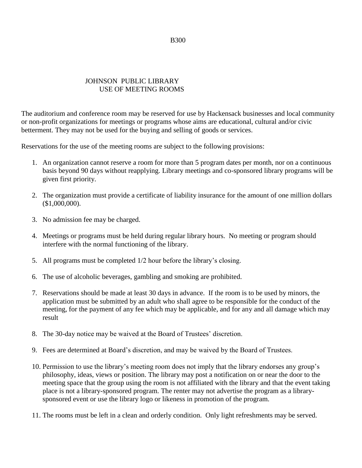# JOHNSON PUBLIC LIBRARY USE OF MEETING ROOMS

The auditorium and conference room may be reserved for use by Hackensack businesses and local community or non-profit organizations for meetings or programs whose aims are educational, cultural and/or civic betterment. They may not be used for the buying and selling of goods or services.

Reservations for the use of the meeting rooms are subject to the following provisions:

- 1. An organization cannot reserve a room for more than 5 program dates per month, nor on a continuous basis beyond 90 days without reapplying. Library meetings and co-sponsored library programs will be given first priority.
- 2. The organization must provide a certificate of liability insurance for the amount of one million dollars (\$1,000,000).
- 3. No admission fee may be charged.
- 4. Meetings or programs must be held during regular library hours. No meeting or program should interfere with the normal functioning of the library.
- 5. All programs must be completed 1/2 hour before the library's closing.
- 6. The use of alcoholic beverages, gambling and smoking are prohibited.
- 7. Reservations should be made at least 30 days in advance. If the room is to be used by minors, the application must be submitted by an adult who shall agree to be responsible for the conduct of the meeting, for the payment of any fee which may be applicable, and for any and all damage which may result
- 8. The 30-day notice may be waived at the Board of Trustees' discretion.
- 9. Fees are determined at Board's discretion, and may be waived by the Board of Trustees.
- 10. Permission to use the library's meeting room does not imply that the library endorses any group's philosophy, ideas, views or position. The library may post a notification on or near the door to the meeting space that the group using the room is not affiliated with the library and that the event taking place is not a library-sponsored program. The renter may not advertise the program as a librarysponsored event or use the library logo or likeness in promotion of the program.
- 11. The rooms must be left in a clean and orderly condition. Only light refreshments may be served.

#### B300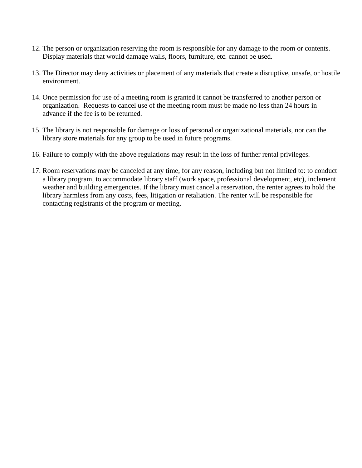- 12. The person or organization reserving the room is responsible for any damage to the room or contents. Display materials that would damage walls, floors, furniture, etc. cannot be used.
- 13. The Director may deny activities or placement of any materials that create a disruptive, unsafe, or hostile environment.
- 14. Once permission for use of a meeting room is granted it cannot be transferred to another person or organization. Requests to cancel use of the meeting room must be made no less than 24 hours in advance if the fee is to be returned.
- 15. The library is not responsible for damage or loss of personal or organizational materials, nor can the library store materials for any group to be used in future programs.
- 16. Failure to comply with the above regulations may result in the loss of further rental privileges.
- 17. Room reservations may be canceled at any time, for any reason, including but not limited to: to conduct a library program, to accommodate library staff (work space, professional development, etc), inclement weather and building emergencies. If the library must cancel a reservation, the renter agrees to hold the library harmless from any costs, fees, litigation or retaliation. The renter will be responsible for contacting registrants of the program or meeting.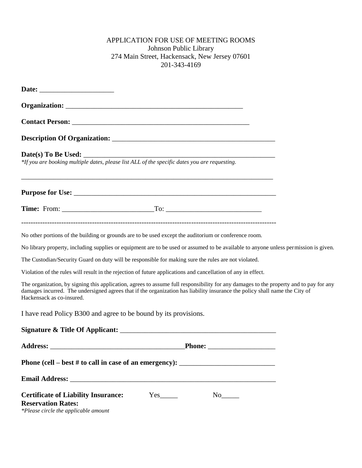## APPLICATION FOR USE OF MEETING ROOMS Johnson Public Library 274 Main Street, Hackensack, New Jersey 07601 201-343-4169

| <b>Date(s) To Be Used:</b><br>*If you are booking multiple dates, please list ALL of the specific dates you are requesting.                                                                                                                                                                                                                                                       |  |  |
|-----------------------------------------------------------------------------------------------------------------------------------------------------------------------------------------------------------------------------------------------------------------------------------------------------------------------------------------------------------------------------------|--|--|
| ,我们也不能在这里的时候,我们也不能在这里的时候,我们也不能会在这里的时候,我们也不能会在这里的时候,我们也不能会在这里的时候,我们也不能会在这里的时候,我们也不                                                                                                                                                                                                                                                                                                 |  |  |
|                                                                                                                                                                                                                                                                                                                                                                                   |  |  |
| No other portions of the building or grounds are to be used except the auditorium or conference room.                                                                                                                                                                                                                                                                             |  |  |
| No library property, including supplies or equipment are to be used or assumed to be available to anyone unless permission is given.                                                                                                                                                                                                                                              |  |  |
| The Custodian/Security Guard on duty will be responsible for making sure the rules are not violated.                                                                                                                                                                                                                                                                              |  |  |
| Violation of the rules will result in the rejection of future applications and cancellation of any in effect.                                                                                                                                                                                                                                                                     |  |  |
| The organization, by signing this application, agrees to assume full responsibility for any damages to the property and to pay for any<br>damages incurred. The undersigned agrees that if the organization has liability insurance the policy shall name the City of<br>Hackensack as co-insured.                                                                                |  |  |
| I have read Policy B300 and agree to be bound by its provisions.                                                                                                                                                                                                                                                                                                                  |  |  |
|                                                                                                                                                                                                                                                                                                                                                                                   |  |  |
|                                                                                                                                                                                                                                                                                                                                                                                   |  |  |
| Phone (cell – best # to call in case of an emergency): $\frac{1}{\sqrt{1-\frac{1}{\sqrt{1-\frac{1}{\sqrt{1-\frac{1}{\sqrt{1-\frac{1}{\sqrt{1-\frac{1}{\sqrt{1-\frac{1}{\sqrt{1-\frac{1}{\sqrt{1-\frac{1}{\sqrt{1-\frac{1}{\sqrt{1-\frac{1}{\sqrt{1-\frac{1}{\sqrt{1-\frac{1}{\sqrt{1-\frac{1}{\sqrt{1-\frac{1}{\sqrt{1-\frac{1}{\sqrt{1-\frac{1}{\sqrt{1-\frac{1}{\sqrt{1-\frac{$ |  |  |
|                                                                                                                                                                                                                                                                                                                                                                                   |  |  |
| <b>Certificate of Liability Insurance:</b><br>$Yes$ <sub>_______</sub><br><b>Reservation Rates:</b><br>*Please circle the applicable amount                                                                                                                                                                                                                                       |  |  |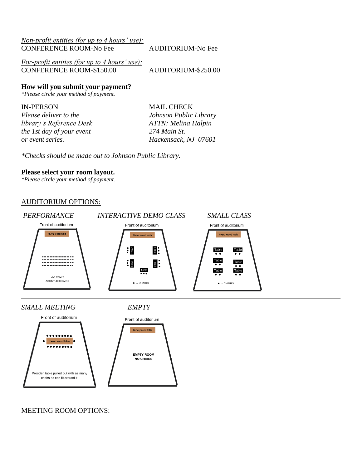| <i>Non-profit entities (for up to 4 hours' use):</i> |                          |
|------------------------------------------------------|--------------------------|
| <b>CONFERENCE ROOM-No Fee</b>                        | <b>AUDITORIUM-No Fee</b> |
|                                                      |                          |
| For-profit entities (for up to 4 hours' use):        |                          |
| <b>CONFERENCE ROOM-\$150.00</b>                      | AUDITORIUM-\$250.00      |

**How will you submit your payment?**

*\*Please circle your method of payment.*

IN-PERSON MAIL CHECK *Please deliver to the Johnson Public Library library's Reference Desk ATTN: Melina Halpin the 1st day of your event 274 Main St. or event series. Hackensack, NJ 07601*

*\*Checks should be made out to Johnson Public Library.*

#### **Please select your room layout.**

*\*Please circle your method of payment.*

### AUDITORIUM OPTIONS:





MEETING ROOM OPTIONS: